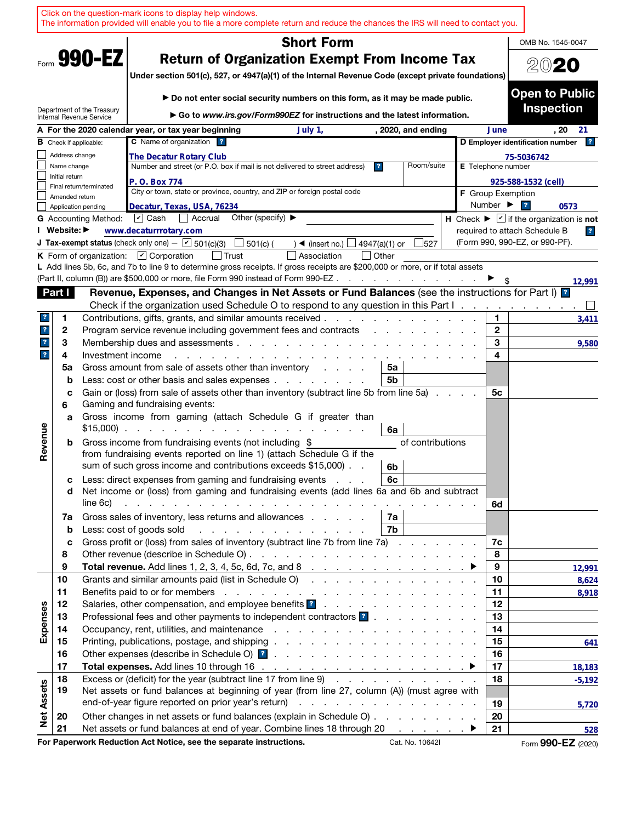|                         |                               |                                                        | Click on the question-mark icons to display help windows.                    |                                                                                                                 | The information provided will enable you to file a more complete return and reduce the chances the IRS will need to contact you.                                                                                                    |                                    |                                                                                          |                                                          |                                                                          |
|-------------------------|-------------------------------|--------------------------------------------------------|------------------------------------------------------------------------------|-----------------------------------------------------------------------------------------------------------------|-------------------------------------------------------------------------------------------------------------------------------------------------------------------------------------------------------------------------------------|------------------------------------|------------------------------------------------------------------------------------------|----------------------------------------------------------|--------------------------------------------------------------------------|
| <b>Short Form</b>       |                               |                                                        |                                                                              |                                                                                                                 |                                                                                                                                                                                                                                     |                                    | OMB No. 1545-0047                                                                        |                                                          |                                                                          |
|                         |                               | Form 990-EZ                                            |                                                                              |                                                                                                                 | <b>Return of Organization Exempt From Income Tax</b>                                                                                                                                                                                |                                    |                                                                                          |                                                          |                                                                          |
|                         |                               |                                                        |                                                                              |                                                                                                                 |                                                                                                                                                                                                                                     |                                    |                                                                                          |                                                          | 2020                                                                     |
|                         |                               |                                                        |                                                                              |                                                                                                                 | Under section 501(c), 527, or 4947(a)(1) of the Internal Revenue Code (except private foundations)                                                                                                                                  |                                    |                                                                                          |                                                          |                                                                          |
|                         |                               |                                                        |                                                                              |                                                                                                                 | Do not enter social security numbers on this form, as it may be made public.                                                                                                                                                        |                                    |                                                                                          |                                                          | <b>Open to Public</b>                                                    |
|                         |                               | Department of the Treasury<br>Internal Revenue Service |                                                                              |                                                                                                                 | Go to www.irs.gov/Form990EZ for instructions and the latest information.                                                                                                                                                            |                                    |                                                                                          |                                                          | <b>Inspection</b>                                                        |
|                         |                               |                                                        | A For the 2020 calendar year, or tax year beginning                          |                                                                                                                 | July 1,                                                                                                                                                                                                                             |                                    | , 2020, and ending                                                                       | June                                                     | . 20<br>21                                                               |
|                         |                               | <b>B</b> Check if applicable:                          | C Name of organization ?                                                     |                                                                                                                 |                                                                                                                                                                                                                                     |                                    |                                                                                          |                                                          | D Employer identification number<br>$\mathbf{R}$                         |
|                         | Address change                |                                                        | The Decatur Rotary Club                                                      |                                                                                                                 |                                                                                                                                                                                                                                     |                                    |                                                                                          |                                                          | 75-5036742                                                               |
|                         | Name change<br>Initial return |                                                        |                                                                              |                                                                                                                 | Number and street (or P.O. box if mail is not delivered to street address)                                                                                                                                                          | $\mathbf{r}$                       | Room/suite                                                                               | E Telephone number                                       |                                                                          |
|                         |                               | Final return/terminated                                | P. O. Box 774                                                                |                                                                                                                 | City or town, state or province, country, and ZIP or foreign postal code                                                                                                                                                            |                                    |                                                                                          |                                                          | 925-588-1532 (cell)                                                      |
|                         | Amended return                |                                                        |                                                                              |                                                                                                                 |                                                                                                                                                                                                                                     |                                    |                                                                                          | <b>F</b> Group Exemption<br>Number $\blacktriangleright$ | $\overline{\mathbf{r}}$                                                  |
|                         |                               | Application pending<br><b>G</b> Accounting Method:     | Decatur, Texas, USA, 76234<br>$ \mathbf{v} $ Cash<br>  Accrual               | Other (specify) $\blacktriangleright$                                                                           |                                                                                                                                                                                                                                     |                                    |                                                                                          |                                                          | 0573<br>H Check $\blacktriangleright \square$ if the organization is not |
|                         | I Website: ▶                  |                                                        | www.decaturrrotary.com                                                       |                                                                                                                 |                                                                                                                                                                                                                                     |                                    |                                                                                          |                                                          | required to attach Schedule B<br>$\overline{\mathbf{r}}$                 |
|                         |                               |                                                        | <b>J Tax-exempt status</b> (check only one) - $\boxed{\mathbf{v}}$ 501(c)(3) | 501(c) (                                                                                                        | $\triangleleft$ (insert no.)                                                                                                                                                                                                        | 4947(a)(1) or                      | 527                                                                                      |                                                          | (Form 990, 990-EZ, or 990-PF).                                           |
|                         |                               |                                                        | K Form of organization: $\boxed{\mathbf{v}}$ Corporation                     | <b>Trust</b>                                                                                                    | Association                                                                                                                                                                                                                         | Other                              |                                                                                          |                                                          |                                                                          |
|                         |                               |                                                        |                                                                              |                                                                                                                 | L Add lines 5b, 6c, and 7b to line 9 to determine gross receipts. If gross receipts are \$200,000 or more, or if total assets                                                                                                       |                                    |                                                                                          |                                                          |                                                                          |
|                         |                               |                                                        |                                                                              |                                                                                                                 | (Part II, column (B)) are \$500,000 or more, file Form 990 instead of Form 990-EZ                                                                                                                                                   |                                    |                                                                                          |                                                          | 12,991                                                                   |
|                         | Part I                        |                                                        |                                                                              |                                                                                                                 | Revenue, Expenses, and Changes in Net Assets or Fund Balances (see the instructions for Part I) <sup>2</sup><br>Check if the organization used Schedule O to respond to any question in this Part I                                 |                                    |                                                                                          |                                                          |                                                                          |
| 7.                      | 1                             |                                                        | Contributions, gifts, grants, and similar amounts received.                  |                                                                                                                 |                                                                                                                                                                                                                                     |                                    | $\mathbf{r}$ , and $\mathbf{r}$ , and $\mathbf{r}$ , and $\mathbf{r}$ , and $\mathbf{r}$ | 1.                                                       | 3,411                                                                    |
| $\mathbf{r}$            | 2                             |                                                        |                                                                              |                                                                                                                 | Program service revenue including government fees and contracts                                                                                                                                                                     | $\sim$ $\sim$ $\sim$ $\sim$ $\sim$ |                                                                                          | $\mathbf{2}$                                             |                                                                          |
| $\mathbf{r}$            | 3                             |                                                        |                                                                              |                                                                                                                 |                                                                                                                                                                                                                                     |                                    |                                                                                          | 3                                                        | 9,580                                                                    |
| $\overline{\mathbf{r}}$ | 4                             | Investment income                                      |                                                                              |                                                                                                                 | and a strain and a strain and a                                                                                                                                                                                                     |                                    |                                                                                          | 4                                                        |                                                                          |
|                         | 5a                            |                                                        |                                                                              |                                                                                                                 | Gross amount from sale of assets other than inventory                                                                                                                                                                               | 5a                                 |                                                                                          |                                                          |                                                                          |
|                         | b                             |                                                        |                                                                              |                                                                                                                 | Less: cost or other basis and sales expenses                                                                                                                                                                                        | 5b                                 |                                                                                          |                                                          |                                                                          |
|                         | с<br>6                        |                                                        | Gaming and fundraising events:                                               |                                                                                                                 | Gain or (loss) from sale of assets other than inventory (subtract line 5b from line 5a)                                                                                                                                             |                                    |                                                                                          | 5с                                                       |                                                                          |
|                         | a                             |                                                        |                                                                              |                                                                                                                 | Gross income from gaming (attach Schedule G if greater than                                                                                                                                                                         |                                    |                                                                                          |                                                          |                                                                          |
|                         |                               | $$15,000$ ).                                           |                                                                              | the contract of the contract of the contract of the contract of the contract of the contract of the contract of |                                                                                                                                                                                                                                     | 6a                                 |                                                                                          |                                                          |                                                                          |
| Revenue                 | b                             |                                                        | Gross income from fundraising events (not including \$                       |                                                                                                                 |                                                                                                                                                                                                                                     |                                    | of contributions                                                                         |                                                          |                                                                          |
|                         |                               |                                                        |                                                                              |                                                                                                                 | from fundraising events reported on line 1) (attach Schedule G if the                                                                                                                                                               |                                    |                                                                                          |                                                          |                                                                          |
|                         |                               |                                                        | sum of such gross income and contributions exceeds \$15,000).                |                                                                                                                 |                                                                                                                                                                                                                                     | 6b                                 |                                                                                          |                                                          |                                                                          |
|                         | с<br>d                        |                                                        |                                                                              |                                                                                                                 | Less: direct expenses from gaming and fundraising events<br>Net income or (loss) from gaming and fundraising events (add lines 6a and 6b and subtract                                                                               | 6c                                 |                                                                                          |                                                          |                                                                          |
|                         |                               | line 6c)                                               |                                                                              |                                                                                                                 | and the contract of the contract of the contract of the contract of the contract of                                                                                                                                                 |                                    |                                                                                          | 6d                                                       |                                                                          |
|                         | 7a                            |                                                        |                                                                              |                                                                                                                 | Gross sales of inventory, less returns and allowances                                                                                                                                                                               | 7a                                 |                                                                                          |                                                          |                                                                          |
|                         | $\mathbf b$                   |                                                        | Less: cost of goods sold                                                     |                                                                                                                 | and the contract of the contract of the contract of                                                                                                                                                                                 | 7b                                 |                                                                                          |                                                          |                                                                          |
|                         | c                             |                                                        |                                                                              |                                                                                                                 | Gross profit or (loss) from sales of inventory (subtract line 7b from line 7a)                                                                                                                                                      |                                    |                                                                                          | 7c                                                       |                                                                          |
|                         | 8                             |                                                        |                                                                              |                                                                                                                 |                                                                                                                                                                                                                                     |                                    |                                                                                          | 8                                                        |                                                                          |
|                         | 9<br>10                       |                                                        |                                                                              |                                                                                                                 | Grants and similar amounts paid (list in Schedule O)                                                                                                                                                                                |                                    |                                                                                          | 9<br>10                                                  | 12,991                                                                   |
|                         | 11                            |                                                        |                                                                              |                                                                                                                 | Benefits paid to or for members enters and the context of the context of the context of the context of the context of the context of the context of the context of the context of the context of the context of the context of      |                                    |                                                                                          | 11                                                       | 8,624<br>8,918                                                           |
|                         | 12                            |                                                        |                                                                              |                                                                                                                 | Salaries, other compensation, and employee benefits <b>3</b> and a series of the series of the series of the series of the series of the series of the series of the series of the series of the series of the series of the series |                                    |                                                                                          | 12                                                       |                                                                          |
|                         | 13                            |                                                        |                                                                              |                                                                                                                 | Professional fees and other payments to independent contractors ?                                                                                                                                                                   |                                    |                                                                                          | 13                                                       |                                                                          |
| Expenses                | 14                            |                                                        |                                                                              |                                                                                                                 |                                                                                                                                                                                                                                     |                                    |                                                                                          | 14                                                       |                                                                          |
|                         | 15                            |                                                        |                                                                              |                                                                                                                 |                                                                                                                                                                                                                                     |                                    |                                                                                          | 15                                                       | 641                                                                      |
|                         | 16<br>17                      |                                                        |                                                                              |                                                                                                                 |                                                                                                                                                                                                                                     |                                    |                                                                                          | 16                                                       |                                                                          |
|                         | 18                            |                                                        |                                                                              |                                                                                                                 | Excess or (deficit) for the year (subtract line 17 from line 9)                                                                                                                                                                     |                                    |                                                                                          | 17<br>18                                                 | 18,183<br>$-5,192$                                                       |
|                         | 19                            |                                                        |                                                                              |                                                                                                                 | Net assets or fund balances at beginning of year (from line 27, column (A)) (must agree with                                                                                                                                        |                                    |                                                                                          |                                                          |                                                                          |
|                         |                               |                                                        |                                                                              |                                                                                                                 |                                                                                                                                                                                                                                     |                                    |                                                                                          | 19                                                       | 5,720                                                                    |
| <b>Net Assets</b>       | 20                            |                                                        |                                                                              |                                                                                                                 | Other changes in net assets or fund balances (explain in Schedule O)                                                                                                                                                                |                                    |                                                                                          | 20                                                       |                                                                          |
|                         | 21                            |                                                        |                                                                              |                                                                                                                 | Net assets or fund balances at end of year. Combine lines 18 through 20                                                                                                                                                             |                                    | $\sim$ $\blacktriangleright$                                                             | 21                                                       | 528                                                                      |
|                         |                               |                                                        | For Paperwork Reduction Act Notice, see the separate instructions.           |                                                                                                                 |                                                                                                                                                                                                                                     |                                    | Cat. No. 10642I                                                                          |                                                          | Form 990-EZ (2020)                                                       |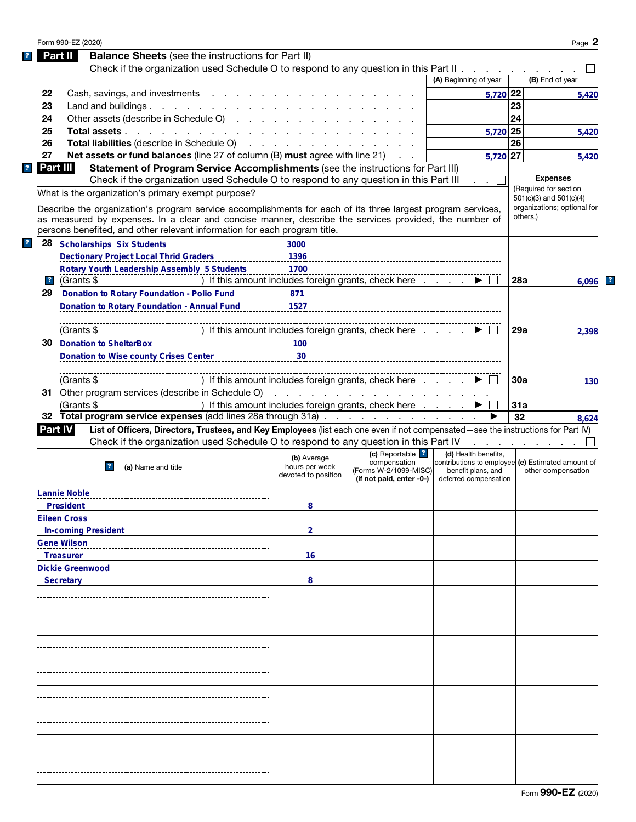| Part II          | Form 990-EZ (2020)                                                                                                                |                                                                                                                                                                                                                                      |                                                         |                                                   |          | Page 2                      |
|------------------|-----------------------------------------------------------------------------------------------------------------------------------|--------------------------------------------------------------------------------------------------------------------------------------------------------------------------------------------------------------------------------------|---------------------------------------------------------|---------------------------------------------------|----------|-----------------------------|
|                  | <b>Balance Sheets</b> (see the instructions for Part II)                                                                          |                                                                                                                                                                                                                                      |                                                         |                                                   |          |                             |
|                  | Check if the organization used Schedule O to respond to any question in this Part II                                              |                                                                                                                                                                                                                                      |                                                         |                                                   |          |                             |
|                  |                                                                                                                                   |                                                                                                                                                                                                                                      |                                                         | (A) Beginning of year                             |          | (B) End of year             |
| 22               | Cash, savings, and investments                                                                                                    |                                                                                                                                                                                                                                      |                                                         | 5,720 22                                          |          | 5,420                       |
| 23               | Land and buildings. $\cdot \cdot \cdot \cdot \cdot \cdot \cdot \cdot$                                                             |                                                                                                                                                                                                                                      |                                                         |                                                   | 23       |                             |
| 24               | Other assets (describe in Schedule O)                                                                                             |                                                                                                                                                                                                                                      |                                                         |                                                   | 24       |                             |
| 25               | Total assets                                                                                                                      |                                                                                                                                                                                                                                      |                                                         | 5,720 25                                          |          | 5,420                       |
| 26               | Total liabilities (describe in Schedule O)                                                                                        | <u>and a series of the series of the series of the series of the series of the series of the series of the series of the series of the series of the series of the series of the series of the series of the series of the serie</u> |                                                         |                                                   | 26       |                             |
| 27               | Net assets or fund balances (line 27 of column (B) must agree with line 21)                                                       |                                                                                                                                                                                                                                      |                                                         | $5,720$ 27                                        |          |                             |
| Part III         |                                                                                                                                   |                                                                                                                                                                                                                                      |                                                         |                                                   |          | 5,420                       |
|                  | Statement of Program Service Accomplishments (see the instructions for Part III)                                                  |                                                                                                                                                                                                                                      |                                                         |                                                   |          | <b>Expenses</b>             |
|                  | Check if the organization used Schedule O to respond to any question in this Part III                                             |                                                                                                                                                                                                                                      |                                                         |                                                   |          | (Required for section       |
|                  | What is the organization's primary exempt purpose?                                                                                |                                                                                                                                                                                                                                      |                                                         |                                                   |          | 501(c)(3) and 501(c)(4)     |
|                  | Describe the organization's program service accomplishments for each of its three largest program services,                       |                                                                                                                                                                                                                                      |                                                         |                                                   |          | organizations; optional for |
|                  | as measured by expenses. In a clear and concise manner, describe the services provided, the number of                             |                                                                                                                                                                                                                                      |                                                         |                                                   | others.) |                             |
|                  | persons benefited, and other relevant information for each program title.                                                         |                                                                                                                                                                                                                                      |                                                         |                                                   |          |                             |
| 28               | <b>Scholarships Six Students</b>                                                                                                  |                                                                                                                                                                                                                                      |                                                         |                                                   |          |                             |
|                  | <b>Dectionary Project Local Thrid Graders</b>                                                                                     | 1396                                                                                                                                                                                                                                 |                                                         |                                                   |          |                             |
|                  | Rotary Youth Leadership Assembly 5 Students                                                                                       | 1700                                                                                                                                                                                                                                 |                                                         |                                                   |          |                             |
| $\overline{ }$ ? | (Grants \$                                                                                                                        | ) If this amount includes foreign grants, check here                                                                                                                                                                                 |                                                         |                                                   | 28a      | 6.096                       |
| 29               | <b>Donation to Rotary Foundation - Polio Fund</b>                                                                                 | 871                                                                                                                                                                                                                                  |                                                         |                                                   |          |                             |
|                  | <b>Donation to Rotary Foundation - Annual Fund</b>                                                                                | 1527                                                                                                                                                                                                                                 |                                                         |                                                   |          |                             |
|                  |                                                                                                                                   |                                                                                                                                                                                                                                      |                                                         |                                                   |          |                             |
|                  | (Grants \$                                                                                                                        | ) If this amount includes foreign grants, check here                                                                                                                                                                                 |                                                         |                                                   | 29a      | 2,398                       |
| 30               | <b>Donation to ShelterBox</b>                                                                                                     |                                                                                                                                                                                                                                      |                                                         |                                                   |          |                             |
|                  |                                                                                                                                   | 100                                                                                                                                                                                                                                  |                                                         |                                                   |          |                             |
|                  | Donation to Wise county Crises Center                                                                                             | 30                                                                                                                                                                                                                                   |                                                         |                                                   |          |                             |
|                  |                                                                                                                                   |                                                                                                                                                                                                                                      |                                                         |                                                   |          |                             |
|                  | (Grants \$                                                                                                                        | ) If this amount includes foreign grants, check here                                                                                                                                                                                 |                                                         |                                                   | 30a      | 130                         |
|                  | 31 Other program services (describe in Schedule O)                                                                                |                                                                                                                                                                                                                                      | and the contract of the contract of the contract of the |                                                   |          |                             |
|                  | (Grants \$                                                                                                                        | ) If this amount includes foreign grants, check here                                                                                                                                                                                 |                                                         |                                                   | 31a      |                             |
|                  | 32 Total program service expenses (add lines 28a through 31a)                                                                     |                                                                                                                                                                                                                                      |                                                         |                                                   | 32       | 8,624                       |
| Part IV l        | List of Officers, Directors, Trustees, and Key Employees (list each one even if not compensated-see the instructions for Part IV) |                                                                                                                                                                                                                                      |                                                         |                                                   |          |                             |
|                  | Check if the organization used Schedule O to respond to any question in this Part IV                                              |                                                                                                                                                                                                                                      |                                                         |                                                   |          |                             |
|                  |                                                                                                                                   | (b) Average                                                                                                                                                                                                                          | (c) Reportable ?                                        | (d) Health benefits,                              |          |                             |
|                  | 2 <br>(a) Name and title                                                                                                          | hours per week                                                                                                                                                                                                                       | compensation                                            | contributions to employee (e) Estimated amount of |          |                             |
|                  |                                                                                                                                   | devoted to position                                                                                                                                                                                                                  |                                                         |                                                   |          |                             |
|                  |                                                                                                                                   |                                                                                                                                                                                                                                      | (Forms W-2/1099-MISC)<br>(if not paid, enter -0-)       | benefit plans, and<br>deferred compensation       |          | other compensation          |
|                  |                                                                                                                                   |                                                                                                                                                                                                                                      |                                                         |                                                   |          |                             |
|                  | <b>Lannie Noble</b>                                                                                                               |                                                                                                                                                                                                                                      |                                                         |                                                   |          |                             |
|                  | <b>President</b>                                                                                                                  | 8                                                                                                                                                                                                                                    |                                                         |                                                   |          |                             |
|                  | <b>Eileen Cross</b>                                                                                                               |                                                                                                                                                                                                                                      |                                                         |                                                   |          |                             |
|                  | <b>In-coming President</b>                                                                                                        | $\overline{2}$                                                                                                                                                                                                                       |                                                         |                                                   |          |                             |
|                  | <b>Gene Wilson</b>                                                                                                                |                                                                                                                                                                                                                                      |                                                         |                                                   |          |                             |
| <b>Treasurer</b> |                                                                                                                                   | 16                                                                                                                                                                                                                                   |                                                         |                                                   |          |                             |
|                  | <b>Dickie Greenwood</b>                                                                                                           |                                                                                                                                                                                                                                      |                                                         |                                                   |          |                             |
| <b>Secretary</b> |                                                                                                                                   | 8                                                                                                                                                                                                                                    |                                                         |                                                   |          |                             |
|                  |                                                                                                                                   |                                                                                                                                                                                                                                      |                                                         |                                                   |          |                             |
|                  |                                                                                                                                   |                                                                                                                                                                                                                                      |                                                         |                                                   |          |                             |
|                  |                                                                                                                                   |                                                                                                                                                                                                                                      |                                                         |                                                   |          |                             |
|                  |                                                                                                                                   |                                                                                                                                                                                                                                      |                                                         |                                                   |          |                             |
|                  |                                                                                                                                   |                                                                                                                                                                                                                                      |                                                         |                                                   |          |                             |
|                  |                                                                                                                                   |                                                                                                                                                                                                                                      |                                                         |                                                   |          |                             |
|                  |                                                                                                                                   |                                                                                                                                                                                                                                      |                                                         |                                                   |          |                             |
|                  |                                                                                                                                   |                                                                                                                                                                                                                                      |                                                         |                                                   |          |                             |
|                  |                                                                                                                                   |                                                                                                                                                                                                                                      |                                                         |                                                   |          |                             |
|                  |                                                                                                                                   |                                                                                                                                                                                                                                      |                                                         |                                                   |          |                             |
|                  |                                                                                                                                   |                                                                                                                                                                                                                                      |                                                         |                                                   |          |                             |
|                  |                                                                                                                                   |                                                                                                                                                                                                                                      |                                                         |                                                   |          |                             |
|                  |                                                                                                                                   |                                                                                                                                                                                                                                      |                                                         |                                                   |          |                             |
|                  |                                                                                                                                   |                                                                                                                                                                                                                                      |                                                         |                                                   |          |                             |
|                  |                                                                                                                                   |                                                                                                                                                                                                                                      |                                                         |                                                   |          |                             |
|                  |                                                                                                                                   |                                                                                                                                                                                                                                      |                                                         |                                                   |          |                             |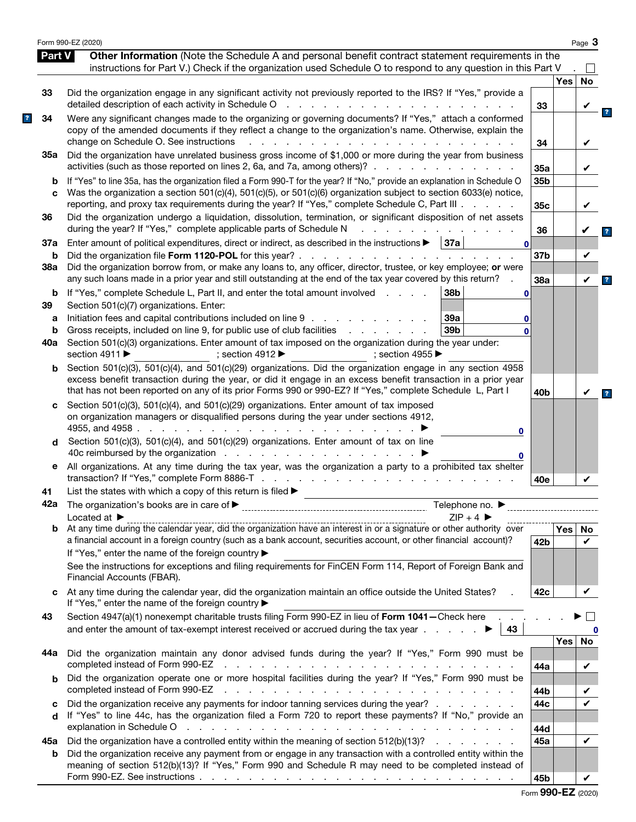|          | Form 990-EZ (2020)                                                                                                                                                                                                                                                                                                                               |                 |            | Page 3                 |
|----------|--------------------------------------------------------------------------------------------------------------------------------------------------------------------------------------------------------------------------------------------------------------------------------------------------------------------------------------------------|-----------------|------------|------------------------|
| Part V   | Other Information (Note the Schedule A and personal benefit contract statement requirements in the                                                                                                                                                                                                                                               |                 |            |                        |
|          | instructions for Part V.) Check if the organization used Schedule O to respond to any question in this Part V                                                                                                                                                                                                                                    |                 | <b>Yes</b> | No                     |
| 33       | Did the organization engage in any significant activity not previously reported to the IRS? If "Yes," provide a<br>detailed description of each activity in Schedule O<br>and the state of the state of the                                                                                                                                      | 33              |            |                        |
| 34       | Were any significant changes made to the organizing or governing documents? If "Yes," attach a conformed<br>copy of the amended documents if they reflect a change to the organization's name. Otherwise, explain the<br>change on Schedule O. See instructions                                                                                  | 34              |            | V                      |
| 35а      | Did the organization have unrelated business gross income of \$1,000 or more during the year from business<br>activities (such as those reported on lines 2, 6a, and 7a, among others)?.<br>and the company of the company of                                                                                                                    | 35a             |            | V                      |
| b<br>C   | If "Yes" to line 35a, has the organization filed a Form 990-T for the year? If "No," provide an explanation in Schedule O<br>Was the organization a section 501(c)(4), 501(c)(5), or 501(c)(6) organization subject to section 6033(e) notice,<br>reporting, and proxy tax requirements during the year? If "Yes," complete Schedule C, Part III | 35b<br>35c      |            | V                      |
| 36       | Did the organization undergo a liquidation, dissolution, termination, or significant disposition of net assets<br>during the year? If "Yes," complete applicable parts of Schedule N                                                                                                                                                             | 36              |            |                        |
| 37a      | Enter amount of political expenditures, direct or indirect, as described in the instructions $\blacktriangleright$   37a  <br>$\mathbf{0}$                                                                                                                                                                                                       |                 |            |                        |
| b<br>38a | Did the organization file Form 1120-POL for this year? .<br>and a series of the contract of the con-<br>Did the organization borrow from, or make any loans to, any officer, director, trustee, or key employee; or were                                                                                                                         | 37 <sub>b</sub> |            | V                      |
|          | any such loans made in a prior year and still outstanding at the end of the tax year covered by this return?                                                                                                                                                                                                                                     | 38a             |            | V                      |
| b<br>39  | If "Yes," complete Schedule L, Part II, and enter the total amount involved<br>38b<br>$\mathbf 0$<br>Section 501(c)(7) organizations. Enter:                                                                                                                                                                                                     |                 |            |                        |
| a        | Initiation fees and capital contributions included on line 9<br>39a<br>0                                                                                                                                                                                                                                                                         |                 |            |                        |
| b        | Gross receipts, included on line 9, for public use of club facilities<br>39 <sub>b</sub><br>and a state of the state of the<br>$\Omega$                                                                                                                                                                                                          |                 |            |                        |
| 40a      | Section 501(c)(3) organizations. Enter amount of tax imposed on the organization during the year under:<br>section 4911 ▶<br>; section 4912 $\blacktriangleright$<br>: section 4955 $\blacktriangleright$                                                                                                                                        |                 |            |                        |
| b        | Section 501(c)(3), 501(c)(4), and 501(c)(29) organizations. Did the organization engage in any section 4958<br>excess benefit transaction during the year, or did it engage in an excess benefit transaction in a prior year<br>that has not been reported on any of its prior Forms 990 or 990-EZ? If "Yes," complete Schedule L, Part I        | 40 <sub>b</sub> |            | V                      |
| c        | Section 501(c)(3), 501(c)(4), and 501(c)(29) organizations. Enter amount of tax imposed<br>on organization managers or disqualified persons during the year under sections 4912,<br>4955, and 4958.<br>and a state of the<br>0                                                                                                                   |                 |            |                        |
| d        | Section 501(c)(3), 501(c)(4), and 501(c)(29) organizations. Enter amount of tax on line<br>40c reimbursed by the organization<br>0                                                                                                                                                                                                               |                 |            |                        |
| е        | All organizations. At any time during the tax year, was the organization a party to a prohibited tax shelter<br>transaction? If "Yes," complete Form 8886-T                                                                                                                                                                                      | 40e             |            | V                      |
| 41       | List the states with which a copy of this return is filed $\blacktriangleright$                                                                                                                                                                                                                                                                  |                 |            |                        |
|          | $ZIP + 4$<br>Located at $\blacktriangleright$                                                                                                                                                                                                                                                                                                    |                 |            |                        |
| b        | a financial account in a foreign country (such as a bank account, securities account, or other financial account)?<br>If "Yes," enter the name of the foreign country ▶                                                                                                                                                                          | 42 <sub>b</sub> | Yes        | No<br>V                |
|          | See the instructions for exceptions and filing requirements for FinCEN Form 114, Report of Foreign Bank and<br>Financial Accounts (FBAR).                                                                                                                                                                                                        |                 |            |                        |
| C        | At any time during the calendar year, did the organization maintain an office outside the United States?<br>If "Yes," enter the name of the foreign country ▶                                                                                                                                                                                    | 42c             |            | V                      |
| 43       | Section 4947(a)(1) nonexempt charitable trusts filing Form 990-EZ in lieu of Form 1041-Check here.<br>and enter the amount of tax-exempt interest received or accrued during the tax year $\ldots$<br>43                                                                                                                                         |                 |            | $\vert \ \ \vert$<br>0 |
| 44а      | Did the organization maintain any donor advised funds during the year? If "Yes," Form 990 must be                                                                                                                                                                                                                                                |                 | Yes        | No                     |
| b        | Did the organization operate one or more hospital facilities during the year? If "Yes," Form 990 must be                                                                                                                                                                                                                                         | 44a             |            | V                      |
|          | completed instead of Form 990-EZ<br>the contract of the contract of the contract of the contract of the contract of the contract of                                                                                                                                                                                                              | 44b             |            | V                      |
| c        | Did the organization receive any payments for indoor tanning services during the year?                                                                                                                                                                                                                                                           | 44c             |            | ✓                      |
| d        | If "Yes" to line 44c, has the organization filed a Form 720 to report these payments? If "No," provide an<br>explanation in Schedule O response to the contract of the contract of the contract of the contract of the contract of the contract of the contract of the contract of the contract of the contract of the contract of the cont      | 44d             |            |                        |
| 45а      | Did the organization have a controlled entity within the meaning of section 512(b)(13)?                                                                                                                                                                                                                                                          | 45a             |            | V                      |
| b        | Did the organization receive any payment from or engage in any transaction with a controlled entity within the<br>meaning of section 512(b)(13)? If "Yes," Form 990 and Schedule R may need to be completed instead of                                                                                                                           |                 |            |                        |
|          |                                                                                                                                                                                                                                                                                                                                                  | 45b             |            | V                      |

|  |  |  | Form 990-EZ (2020) |
|--|--|--|--------------------|
|--|--|--|--------------------|